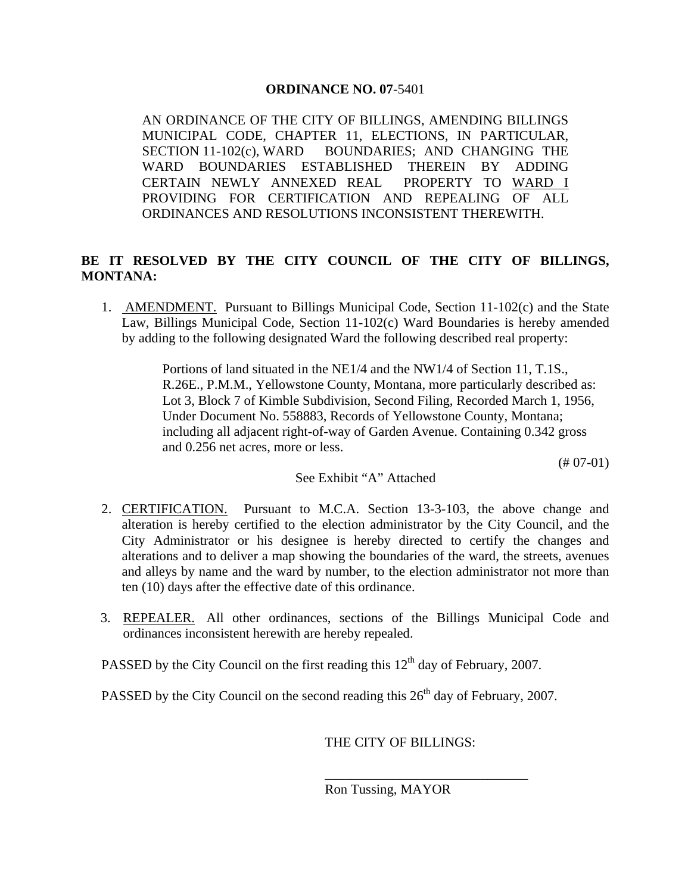## **ORDINANCE NO. 07**-5401

AN ORDINANCE OF THE CITY OF BILLINGS, AMENDING BILLINGS MUNICIPAL CODE, CHAPTER 11, ELECTIONS, IN PARTICULAR, SECTION 11-102(c), WARD BOUNDARIES; AND CHANGING THE WARD BOUNDARIES ESTABLISHED THEREIN BY ADDING CERTAIN NEWLY ANNEXED REAL PROPERTY TO WARD I PROVIDING FOR CERTIFICATION AND REPEALING OF ALL ORDINANCES AND RESOLUTIONS INCONSISTENT THEREWITH.

## **BE IT RESOLVED BY THE CITY COUNCIL OF THE CITY OF BILLINGS, MONTANA:**

1. AMENDMENT. Pursuant to Billings Municipal Code, Section 11-102(c) and the State Law, Billings Municipal Code, Section 11-102(c) Ward Boundaries is hereby amended by adding to the following designated Ward the following described real property:

> Portions of land situated in the NE1/4 and the NW1/4 of Section 11, T.1S., R.26E., P.M.M., Yellowstone County, Montana, more particularly described as: Lot 3, Block 7 of Kimble Subdivision, Second Filing, Recorded March 1, 1956, Under Document No. 558883, Records of Yellowstone County, Montana; including all adjacent right-of-way of Garden Avenue. Containing 0.342 gross and 0.256 net acres, more or less.

> > $(#07-01)$

## See Exhibit "A" Attached

- 2. CERTIFICATION. Pursuant to M.C.A. Section 13-3-103, the above change and alteration is hereby certified to the election administrator by the City Council, and the City Administrator or his designee is hereby directed to certify the changes and alterations and to deliver a map showing the boundaries of the ward, the streets, avenues and alleys by name and the ward by number, to the election administrator not more than ten (10) days after the effective date of this ordinance.
- 3. REPEALER. All other ordinances, sections of the Billings Municipal Code and ordinances inconsistent herewith are hereby repealed.

PASSED by the City Council on the first reading this  $12<sup>th</sup>$  day of February, 2007.

 $\mathcal{L}_\mathcal{L}$  , which is a set of the set of the set of the set of the set of the set of the set of the set of the set of the set of the set of the set of the set of the set of the set of the set of the set of the set of

PASSED by the City Council on the second reading this  $26<sup>th</sup>$  day of February, 2007.

THE CITY OF BILLINGS:

Ron Tussing, MAYOR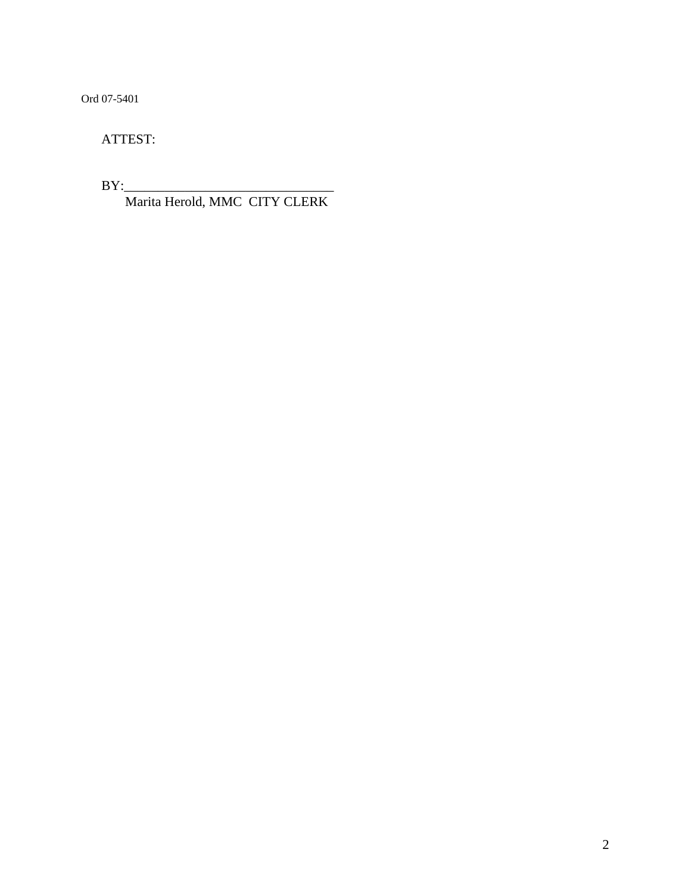Ord 07-5401

ATTEST:

 $BY:$ 

Marita Herold, MMC CITY CLERK